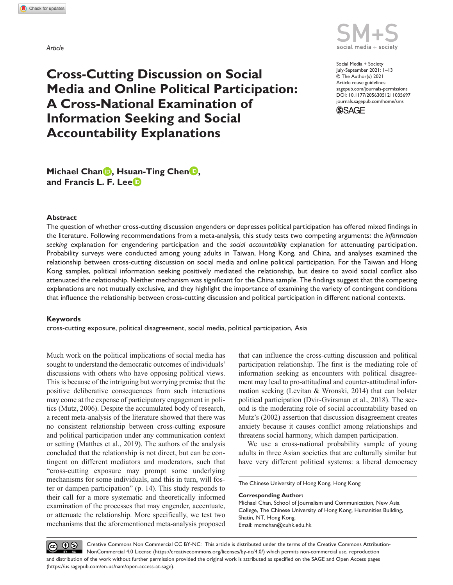*Article*



DOI: 10.1177/20563051211035697 Social Media + Society July-September 2021: 1–13 © The Author(s) 2021 Article reuse guidelines: [sagepub.com/journals-permissions](https://uk.sagepub.com/en-gb/journals-permissions) [journals.sagepub.com/home/sms](https://journals.sagepub.com/home/sms)



**Cross-Cutting Discussion on Social Media and Online Political Participation: A Cross-National Examination of Information Seeking and Social Accountability Explanations**

**Michael Chan<sup>D</sup>, Hsuan-Ting Chen<sup>D</sup>, and Francis L. F. Lee**

#### **Abstract**

The question of whether cross-cutting discussion engenders or depresses political participation has offered mixed findings in the literature. Following recommendations from a meta-analysis, this study tests two competing arguments: the *information seeking* explanation for engendering participation and the *social accountability* explanation for attenuating participation. Probability surveys were conducted among young adults in Taiwan, Hong Kong, and China, and analyses examined the relationship between cross-cutting discussion on social media and online political participation. For the Taiwan and Hong Kong samples, political information seeking positively mediated the relationship, but desire to avoid social conflict also attenuated the relationship. Neither mechanism was significant for the China sample. The findings suggest that the competing explanations are not mutually exclusive, and they highlight the importance of examining the variety of contingent conditions that influence the relationship between cross-cutting discussion and political participation in different national contexts.

#### **Keywords**

cross-cutting exposure, political disagreement, social media, political participation, Asia

Much work on the political implications of social media has sought to understand the democratic outcomes of individuals' discussions with others who have opposing political views. This is because of the intriguing but worrying premise that the positive deliberative consequences from such interactions may come at the expense of participatory engagement in politics (Mutz, 2006). Despite the accumulated body of research, a recent meta-analysis of the literature showed that there was no consistent relationship between cross-cutting exposure and political participation under any communication context or setting (Matthes et al., 2019). The authors of the analysis concluded that the relationship is not direct, but can be contingent on different mediators and moderators, such that "cross-cutting exposure may prompt some underlying mechanisms for some individuals, and this in turn, will foster or dampen participation" (p. 14). This study responds to their call for a more systematic and theoretically informed examination of the processes that may engender, accentuate, or attenuate the relationship. More specifically, we test two mechanisms that the aforementioned meta-analysis proposed that can influence the cross-cutting discussion and political participation relationship. The first is the mediating role of information seeking as encounters with political disagreement may lead to pro-attitudinal and counter-attitudinal information seeking (Levitan & Wronski, 2014) that can bolster political participation (Dvir-Gvirsman et al., 2018). The second is the moderating role of social accountability based on Mutz's (2002) assertion that discussion disagreement creates anxiety because it causes conflict among relationships and threatens social harmony, which dampen participation.

We use a cross-national probability sample of young adults in three Asian societies that are culturally similar but have very different political systems: a liberal democracy

The Chinese University of Hong Kong, Hong Kong

**Corresponding Author:**

Michael Chan, School of Journalism and Communication, New Asia College, The Chinese University of Hong Kong, Humanities Building, Shatin, NT, Hong Kong. Email: [mcmchan@cuhk.edu.hk](mailto:mcmchan@cuhk.edu.hk)

(ஓ ⊕ � Creative Commons Non Commercial CC BY-NC: This article is distributed under the terms of the Creative Commons Attribution-NonCommercial 4.0 License (https://creativecommons.org/licenses/by-nc/4.0/) which permits non-commercial use, reproduction and distribution of the work without further permission provided the original work is attributed as specified on the SAGE and Open Access pages (https://us.sagepub.com/en-us/nam/open-access-at-sage).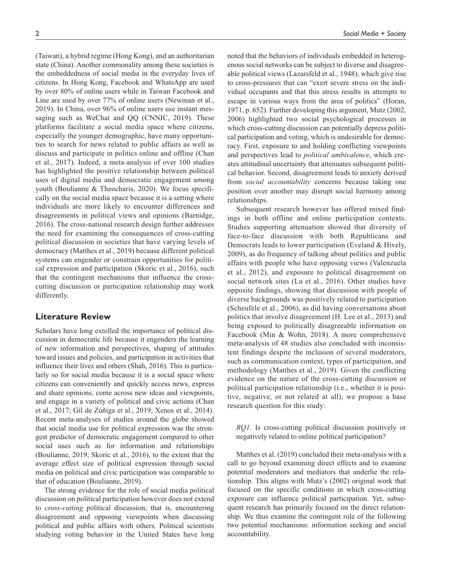(Taiwan), a hybrid regime (Hong Kong), and an authoritarian state (China). Another commonality among these societies is the embeddedness of social media in the everyday lives of citizens. In Hong Kong, Facebook and WhatsApp are used by over 80% of online users while in Taiwan Facebook and Line are used by over 77% of online users (Newman et al., 2019). In China, over 96% of online users use instant messaging such as WeChat and QQ (CNNIC, 2019). These platforms facilitate a social media space where citizens, especially the younger demographic, have many opportunities to search for news related to public affairs as well as discuss and participate in politics online and offline (Chan et al., 2017). Indeed, a meta-analysis of over 100 studies has highlighted the positive relationship between political uses of digital media and democratic engagement among youth (Boulianne & Theocharis, 2020). We focus specifically on the social media space because it is a setting where individuals are more likely to encounter differences and disagreements in political views and opinions (Barnidge, 2016). The cross-national research design further addresses the need for examining the consequences of cross-cutting political discussion in societies that have varying levels of democracy (Matthes et al., 2019) because different political systems can engender or constrain opportunities for political expression and participation (Skoric et al., 2016), such that the contingent mechanisms that influence the crosscutting discussion or participation relationship may work differently.

## **Literature Review**

Scholars have long extolled the importance of political discussion in democratic life because it engenders the learning of new information and perspectives, shaping of attitudes toward issues and policies, and participation in activities that influence their lives and others (Shah, 2016). This is particularly so for social media because it is a social space where citizens can conveniently and quickly access news, express and share opinions, come across new ideas and viewpoints, and engage in a variety of political and civic actions (Chan et al., 2017; Gil de Zúñiga et al., 2019; Xenos et al., 2014). Recent meta-analyses of studies around the globe showed that social media use for political expression was the strongest predictor of democratic engagement compared to other social uses such as for information and relationships (Boulianne, 2019; Skoric et al., 2016), to the extent that the average effect size of political expression through social media on political and civic participation was comparable to that of education (Boulianne, 2019).

The strong evidence for the role of social media political discussion on political participation however does not extend to *cross-cutting* political discussion; that is, encountering disagreement and opposing viewpoints when discussing political and public affairs with others. Political scientists studying voting behavior in the United States have long

noted that the behaviors of individuals embedded in heterogenous social networks can be subject to diverse and disagreeable political views (Lazarsfeld et al., 1948), which give rise to cross-pressures that can "exert severe stress on the individual occupants and that this stress results in attempts to escape in various ways from the area of politics" (Horan, 1971, p. 652). Further developing this argument, Mutz (2002, 2006) highlighted two social psychological processes in which cross-cutting discussion can potentially depress political participation and voting, which is undesirable for democracy. First, exposure to and holding conflicting viewpoints and perspectives lead to *political ambivalence*, which creates attitudinal uncertainty that attenuates subsequent political behavior. Second, disagreement leads to anxiety derived from *social accountability* concerns because taking one position over another may disrupt social harmony among relationships.

Subsequent research however has offered mixed findings in both offline and online participation contexts. Studies supporting attenuation showed that diversity of face-to-face discussion with both Republicans and Democrats leads to lower participation (Eveland & Hively, 2009), as do frequency of talking about politics and public affairs with people who have opposing views (Valenzuela et al., 2012), and exposure to political disagreement on social network sites (Lu et al., 2016). Other studies have opposite findings, showing that discussion with people of diverse backgrounds was positively related to participation (Scheufele et al., 2006), as did having conversations about politics that involve disagreement (H. Lee et al., 2013) and being exposed to politically disagreeable information on Facebook (Min & Wohn, 2018). A more comprehensive meta-analysis of 48 studies also concluded with inconsistent findings despite the inclusion of several moderators, such as communication context, types of participation, and methodology (Matthes et al., 2019). Given the conflicting evidence on the nature of the cross-cutting discussion or political participation relationship (i.e., whether it is positive, negative, or not related at all), we propose a base research question for this study:

*RQ1*. Is cross-cutting political discussion positively or negatively related to online political participation?

Matthes et al. (2019) concluded their meta-analysis with a call to go beyond examining direct effects and to examine potential moderators and mediators that underlie the relationship. This aligns with Mutz's (2002) original work that focused on the specific conditions in which cross-cutting exposure can influence political participation. Yet, subsequent research has primarily focused on the direct relationship. We thus examine the contingent role of the following two potential mechanisms: information seeking and social accountability.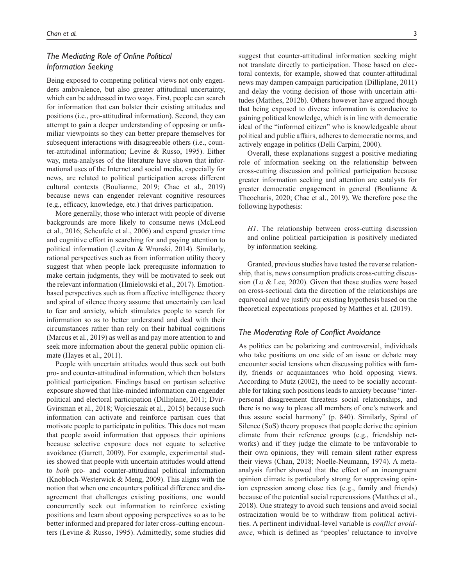# *The Mediating Role of Online Political Information Seeking*

Being exposed to competing political views not only engenders ambivalence, but also greater attitudinal uncertainty, which can be addressed in two ways. First, people can search for information that can bolster their existing attitudes and positions (i.e., pro-attitudinal information). Second, they can attempt to gain a deeper understanding of opposing or unfamiliar viewpoints so they can better prepare themselves for subsequent interactions with disagreeable others (i.e., counter-attitudinal information; Levine & Russo, 1995). Either way, meta-analyses of the literature have shown that informational uses of the Internet and social media, especially for news, are related to political participation across different cultural contexts (Boulianne, 2019; Chae et al., 2019) because news can engender relevant cognitive resources (e.g., efficacy, knowledge, etc.) that drives participation.

More generally, those who interact with people of diverse backgrounds are more likely to consume news (McLeod et al., 2016; Scheufele et al., 2006) and expend greater time and cognitive effort in searching for and paying attention to political information (Levitan & Wronski, 2014). Similarly, rational perspectives such as from information utility theory suggest that when people lack prerequisite information to make certain judgments, they will be motivated to seek out the relevant information (Hmielowski et al., 2017). Emotionbased perspectives such as from affective intelligence theory and spiral of silence theory assume that uncertainly can lead to fear and anxiety, which stimulates people to search for information so as to better understand and deal with their circumstances rather than rely on their habitual cognitions (Marcus et al., 2019) as well as and pay more attention to and seek more information about the general public opinion climate (Hayes et al., 2011).

People with uncertain attitudes would thus seek out both pro- and counter-attitudinal information, which then bolsters political participation. Findings based on partisan selective exposure showed that like-minded information can engender political and electoral participation (Dilliplane, 2011; Dvir-Gvirsman et al., 2018; Wojcieszak et al., 2015) because such information can activate and reinforce partisan cues that motivate people to participate in politics. This does not mean that people avoid information that opposes their opinions because selective exposure does not equate to selective avoidance (Garrett, 2009). For example, experimental studies showed that people with uncertain attitudes would attend to *both* pro- and counter-attitudinal political information (Knobloch-Westerwick & Meng, 2009). This aligns with the notion that when one encounters political difference and disagreement that challenges existing positions, one would concurrently seek out information to reinforce existing positions and learn about opposing perspectives so as to be better informed and prepared for later cross-cutting encounters (Levine & Russo, 1995). Admittedly, some studies did

suggest that counter-attitudinal information seeking might not translate directly to participation. Those based on electoral contexts, for example, showed that counter-attitudinal news may dampen campaign participation (Dilliplane, 2011)

and delay the voting decision of those with uncertain attitudes (Matthes, 2012b). Others however have argued though that being exposed to diverse information is conducive to gaining political knowledge, which is in line with democratic ideal of the "informed citizen" who is knowledgeable about political and public affairs, adheres to democratic norms, and actively engage in politics (Delli Carpini, 2000).

Overall, these explanations suggest a positive mediating role of information seeking on the relationship between cross-cutting discussion and political participation because greater information seeking and attention are catalysts for greater democratic engagement in general (Boulianne & Theocharis, 2020; Chae et al., 2019). We therefore pose the following hypothesis:

*H1*. The relationship between cross-cutting discussion and online political participation is positively mediated by information seeking.

Granted, previous studies have tested the reverse relationship, that is, news consumption predicts cross-cutting discussion (Lu & Lee, 2020). Given that these studies were based on cross-sectional data the direction of the relationships are equivocal and we justify our existing hypothesis based on the theoretical expectations proposed by Matthes et al. (2019).

## *The Moderating Role of Conflict Avoidance*

As politics can be polarizing and controversial, individuals who take positions on one side of an issue or debate may encounter social tensions when discussing politics with family, friends or acquaintances who hold opposing views. According to Mutz (2002), the need to be socially accountable for taking such positions leads to anxiety because "interpersonal disagreement threatens social relationships, and there is no way to please all members of one's network and thus assure social harmony" (p. 840). Similarly, Spiral of Silence (SoS) theory proposes that people derive the opinion climate from their reference groups (e.g., friendship networks) and if they judge the climate to be unfavorable to their own opinions, they will remain silent rather express their views (Chan, 2018; Noelle-Neumann, 1974). A metaanalysis further showed that the effect of an incongruent opinion climate is particularly strong for suppressing opinion expression among close ties (e.g., family and friends) because of the potential social repercussions (Matthes et al., 2018). One strategy to avoid such tensions and avoid social ostracization would be to withdraw from political activities. A pertinent individual-level variable is *conflict avoidance*, which is defined as "peoples' reluctance to involve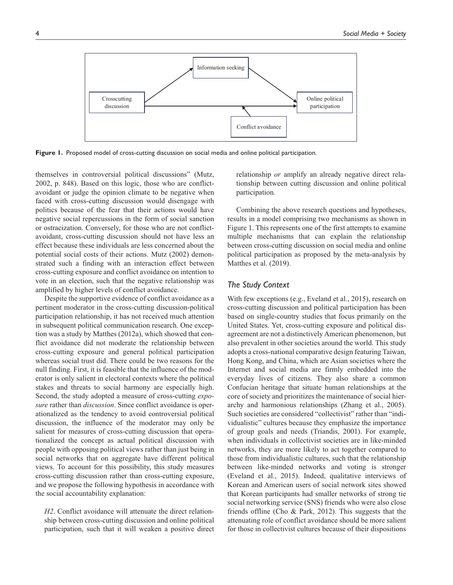

**Figure 1.** Proposed model of cross-cutting discussion on social media and online political participation.

themselves in controversial political discussions" (Mutz, 2002, p. 848). Based on this logic, those who are conflictavoidant or judge the opinion climate to be negative when faced with cross-cutting discussion would disengage with politics because of the fear that their actions would have negative social repercussions in the form of social sanction or ostracization. Conversely, for those who are not conflictavoidant, cross-cutting discussion should not have less an effect because these individuals are less concerned about the potential social costs of their actions. Mutz (2002) demonstrated such a finding with an interaction effect between cross-cutting exposure and conflict avoidance on intention to vote in an election, such that the negative relationship was amplified by higher levels of conflict avoidance.

Despite the supportive evidence of conflict avoidance as a pertinent moderator in the cross-cutting discussion-political participation relationship, it has not received much attention in subsequent political communication research. One exception was a study by Matthes (2012a), which showed that conflict avoidance did not moderate the relationship between cross-cutting exposure and general political participation whereas social trust did. There could be two reasons for the null finding. First, it is feasible that the influence of the moderator is only salient in electoral contexts where the political stakes and threats to social harmony are especially high. Second, the study adopted a measure of cross-cutting *exposure* rather than *discussion*. Since conflict avoidance is operationalized as the tendency to avoid controversial political discussion, the influence of the moderator may only be salient for measures of cross-cutting discussion that operationalized the concept as actual political discussion with people with opposing political views rather than just being in social networks that on aggregate have different political views. To account for this possibility, this study measures cross-cutting discussion rather than cross-cutting exposure, and we propose the following hypothesis in accordance with the social accountability explanation:

*H2*. Conflict avoidance will attenuate the direct relationship between cross-cutting discussion and online political participation, such that it will weaken a positive direct relationship *or* amplify an already negative direct relationship between cutting discussion and online political participation.

Combining the above research questions and hypotheses, results in a model comprising two mechanisms as shown in Figure 1. This represents one of the first attempts to examine multiple mechanisms that can explain the relationship between cross-cutting discussion on social media and online political participation as proposed by the meta-analysis by Matthes et al. (2019).

#### *The Study Context*

With few exceptions (e.g., Eveland et al., 2015), research on cross-cutting discussion and political participation has been based on single-country studies that focus primarily on the United States. Yet, cross-cutting exposure and political disagreement are not a distinctively American phenomenon, but also prevalent in other societies around the world. This study adopts a cross-national comparative design featuring Taiwan, Hong Kong, and China, which are Asian societies where the Internet and social media are firmly embedded into the everyday lives of citizens. They also share a common Confucian heritage that situate human relationships at the core of society and prioritizes the maintenance of social hierarchy and harmonious relationships (Zhang et al., 2005). Such societies are considered "collectivist" rather than "individualistic" cultures because they emphasize the importance of group goals and needs (Triandis, 2001). For example, when individuals in collectivist societies are in like-minded networks, they are more likely to act together compared to those from individualistic cultures, such that the relationship between like-minded networks and voting is stronger (Eveland et al., 2015). Indeed, qualitative interviews of Korean and American users of social network sites showed that Korean participants had smaller networks of strong tie social networking service (SNS) friends who were also close friends offline (Cho & Park, 2012). This suggests that the attenuating role of conflict avoidance should be more salient for those in collectivist cultures because of their dispositions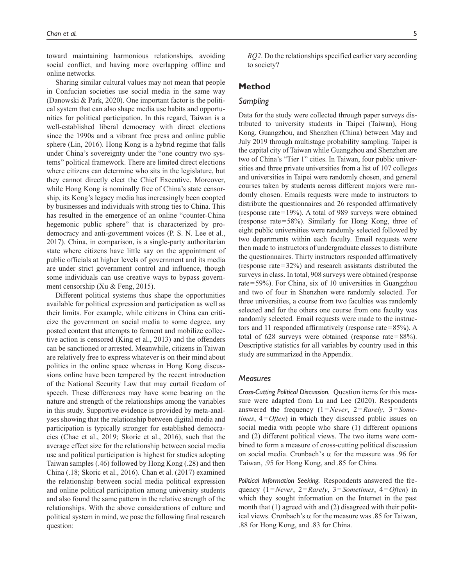toward maintaining harmonious relationships, avoiding social conflict, and having more overlapping offline and online networks.

Sharing similar cultural values may not mean that people in Confucian societies use social media in the same way (Danowski & Park, 2020). One important factor is the political system that can also shape media use habits and opportunities for political participation. In this regard, Taiwan is a well-established liberal democracy with direct elections since the 1990s and a vibrant free press and online public sphere (Lin, 2016). Hong Kong is a hybrid regime that falls under China's sovereignty under the "one country two systems" political framework. There are limited direct elections where citizens can determine who sits in the legislature, but they cannot directly elect the Chief Executive. Moreover, while Hong Kong is nominally free of China's state censorship, its Kong's legacy media has increasingly been coopted by businesses and individuals with strong ties to China. This has resulted in the emergence of an online "counter-China hegemonic public sphere" that is characterized by prodemocracy and anti-government voices (P. S. N. Lee et al., 2017). China, in comparison, is a single-party authoritarian state where citizens have little say on the appointment of public officials at higher levels of government and its media are under strict government control and influence, though some individuals can use creative ways to bypass government censorship (Xu & Feng, 2015).

Different political systems thus shape the opportunities available for political expression and participation as well as their limits. For example, while citizens in China can criticize the government on social media to some degree, any posted content that attempts to ferment and mobilize collective action is censored (King et al., 2013) and the offenders can be sanctioned or arrested. Meanwhile, citizens in Taiwan are relatively free to express whatever is on their mind about politics in the online space whereas in Hong Kong discussions online have been tempered by the recent introduction of the National Security Law that may curtail freedom of speech. These differences may have some bearing on the nature and strength of the relationships among the variables in this study. Supportive evidence is provided by meta-analyses showing that the relationship between digital media and participation is typically stronger for established democracies (Chae et al., 2019; Skoric et al., 2016), such that the average effect size for the relationship between social media use and political participation is highest for studies adopting Taiwan samples (.46) followed by Hong Kong (.28) and then China (.18; Skoric et al., 2016). Chan et al. (2017) examined the relationship between social media political expression and online political participation among university students and also found the same pattern in the relative strength of the relationships. With the above considerations of culture and political system in mind, we pose the following final research question:

*RQ2*. Do the relationships specified earlier vary according to society?

## **Method**

## *Sampling*

Data for the study were collected through paper surveys distributed to university students in Taipei (Taiwan), Hong Kong, Guangzhou, and Shenzhen (China) between May and July 2019 through multistage probability sampling. Taipei is the capital city of Taiwan while Guangzhou and Shenzhen are two of China's "Tier 1" cities. In Taiwan, four public universities and three private universities from a list of 107 colleges and universities in Taipei were randomly chosen, and general courses taken by students across different majors were randomly chosen. Emails requests were made to instructors to distribute the questionnaires and 26 responded affirmatively (response rate=19%). A total of 989 surveys were obtained (response rate=58%). Similarly for Hong Kong, three of eight public universities were randomly selected followed by two departments within each faculty. Email requests were then made to instructors of undergraduate classes to distribute the questionnaires. Thirty instructors responded affirmatively (response rate=32%) and research assistants distributed the surveys in class. In total, 908 surveys were obtained (response rate=59%). For China, six of 10 universities in Guangzhou and two of four in Shenzhen were randomly selected. For three universities, a course from two faculties was randomly selected and for the others one course from one faculty was randomly selected. Email requests were made to the instructors and 11 responded affirmatively (response rate=85%). A total of 628 surveys were obtained (response rate=88%). Descriptive statistics for all variables by country used in this study are summarized in the Appendix.

#### *Measures*

*Cross-Cutting Political Discussion.* Question items for this measure were adapted from Lu and Lee (2020). Respondents answered the frequency (1=*Never*, 2=*Rarely*, 3=*Sometimes*, 4=*Often*) in which they discussed public issues on social media with people who share (1) different opinions and (2) different political views. The two items were combined to form a measure of cross-cutting political discussion on social media. Cronbach's α for the measure was .96 for Taiwan, .95 for Hong Kong, and .85 for China.

*Political Information Seeking.* Respondents answered the frequency (1=*Never*, 2=*Rarely*, 3=*Sometimes*, 4=*Often*) in which they sought information on the Internet in the past month that (1) agreed with and (2) disagreed with their political views. Cronbach's  $\alpha$  for the measure was .85 for Taiwan, .88 for Hong Kong, and .83 for China.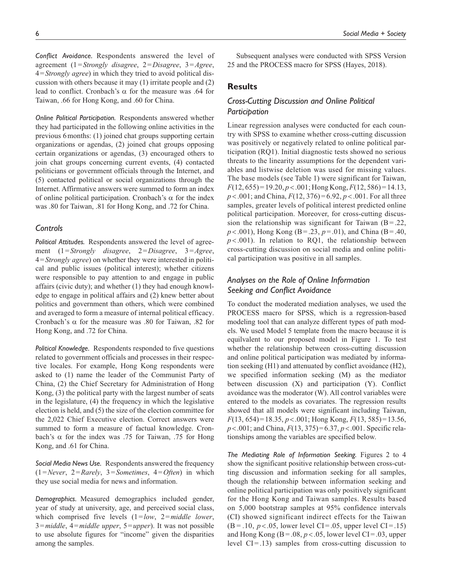*Conflict Avoidance.* Respondents answered the level of agreement (1=*Strongly disagree*, 2=*Disagree*, 3=*Agree*, 4=*Strongly agree*) in which they tried to avoid political discussion with others because it may (1) irritate people and (2) lead to conflict. Cronbach's α for the measure was .64 for Taiwan, .66 for Hong Kong, and .60 for China.

*Online Political Participation.* Respondents answered whether they had participated in the following online activities in the previous 6months: (1) joined chat groups supporting certain organizations or agendas, (2) joined chat groups opposing certain organizations or agendas, (3) encouraged others to join chat groups concerning current events, (4) contacted politicians or government officials through the Internet, and (5) contacted political or social organizations through the Internet. Affirmative answers were summed to form an index of online political participation. Cronbach's  $\alpha$  for the index was .80 for Taiwan, .81 for Hong Kong, and .72 for China.

## *Controls*

*Political Attitudes.* Respondents answered the level of agreement (1=*Strongly disagree*, 2=*Disagree*, 3=*Agree*, 4=*Strongly agree*) on whether they were interested in political and public issues (political interest); whether citizens were responsible to pay attention to and engage in public affairs (civic duty); and whether (1) they had enough knowledge to engage in political affairs and (2) knew better about politics and government than others, which were combined and averaged to form a measure of internal political efficacy. Cronbach's  $\alpha$  for the measure was .80 for Taiwan, .82 for Hong Kong, and .72 for China.

*Political Knowledge.* Respondents responded to five questions related to government officials and processes in their respective locales. For example, Hong Kong respondents were asked to (1) name the leader of the Communist Party of China, (2) the Chief Secretary for Administration of Hong Kong, (3) the political party with the largest number of seats in the legislature, (4) the frequency in which the legislative election is held, and (5) the size of the election committee for the 2,022 Chief Executive election. Correct answers were summed to form a measure of factual knowledge. Cronbach's  $\alpha$  for the index was .75 for Taiwan, .75 for Hong Kong, and .61 for China.

*Social Media News Use.* Respondents answered the frequency (1=*Never*, 2=*Rarely*, 3=*Sometimes*, 4=*Often*) in which they use social media for news and information.

*Demographics.* Measured demographics included gender, year of study at university, age, and perceived social class, which comprised five levels (1=*low*, 2=*middle lower*, 3=*middle*, 4=*middle upper*, 5=*upper*). It was not possible to use absolute figures for "income" given the disparities among the samples.

Subsequent analyses were conducted with SPSS Version 25 and the PROCESS macro for SPSS (Hayes, 2018).

#### **Results**

# *Cross-Cutting Discussion and Online Political Participation*

Linear regression analyses were conducted for each country with SPSS to examine whether cross-cutting discussion was positively or negatively related to online political participation (RQ1). Initial diagnostic tests showed no serious threats to the linearity assumptions for the dependent variables and listwise deletion was used for missing values. The base models (see Table 1) were significant for Taiwan, *F*(12, 655) = 19.20, *p* < .001; Hong Kong, *F*(12, 586) = 14.13, *p* < .001; and China, *F*(12, 376) = 6.92, *p* < .001. For all three samples, greater levels of political interest predicted online political participation. Moreover, for cross-cutting discussion the relationship was significant for Taiwan  $(B = .22)$ , *p* < .001), Hong Kong (B= .23, *p* = .01), and China (B= .40,  $p$  < .001). In relation to RQ1, the relationship between cross-cutting discussion on social media and online political participation was positive in all samples.

# *Analyses on the Role of Online Information Seeking and Conflict Avoidance*

To conduct the moderated mediation analyses, we used the PROCESS macro for SPSS, which is a regression-based modeling tool that can analyze different types of path models. We used Model 5 template from the macro because it is equilvalent to our proposed model in Figure 1. To test whether the relationship between cross-cutting discussion and online political participation was mediated by information seeking (H1) and attenuated by conflict avoidance (H2), we specified information seeking (M) as the mediator between discussion (X) and participation (Y). Conflict avoidance was the moderator (W). All control variables were entered to the models as covariates. The regression results showed that all models were significant including Taiwan, *F*(13, 654)=18.35, *p*<.001; Hong Kong, *F*(13, 585)=13.56, *p*<.001; and China, *F*(13, 375)=6.37, *p*<.001. Specific relationships among the variables are specified below.

*The Mediating Role of Information Seeking.* Figures 2 to 4 show the significant positive relationship between cross-cutting discussion and information seeking for all samples, though the relationship between information seeking and online political participation was only positively significant for the Hong Kong and Taiwan samples. Results based on 5,000 bootstrap samples at 95% confidence intervals (CI) showed significant indirect effects for the Taiwan  $(B = .10, p < .05,$  lower level CI = .05, upper level CI = .15) and Hong Kong  $(B = .08, p < .05,$  lower level  $CI = .03$ , upper level  $CI = .13$ ) samples from cross-cutting discussion to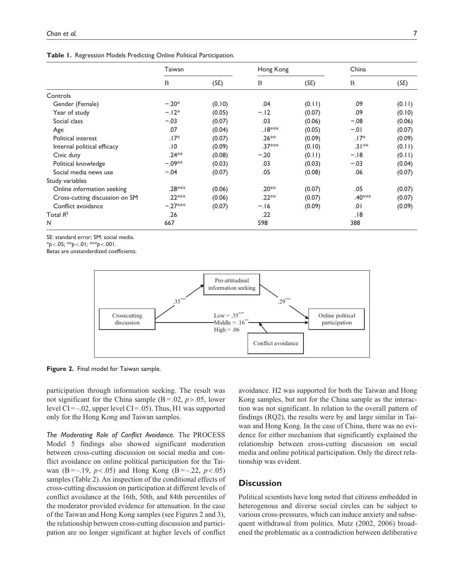**Table 1.** Regression Models Predicting Online Political Participation.

|                                | Taiwan    |        | Hong Kong           |        | China    |        |
|--------------------------------|-----------|--------|---------------------|--------|----------|--------|
|                                | B         | (SE)   | B                   | (SE)   | B        | (SE)   |
| Controls                       |           |        |                     |        |          |        |
| Gender (Female)                | $-.20*$   | (0.10) | .04                 | (0.11) | .09      | (0.11) |
| Year of study                  | $-.12*$   | (0.05) | $-.12$              | (0.07) | .09      | (0.10) |
| Social class                   | $-.03$    | (0.07) | .03                 | (0.06) | $-.08$   | (0.06) |
| Age                            | .07       | (0.04) | .18 <sup>≭</sup> ** | (0.05) | $-.01$   | (0.07) |
| Political interest             | $.17*$    | (0.07) | $.26**$             | (0.09) | $.17*$   | (0.09) |
| Internal political efficacy    | .10       | (0.09) | .37***              | (0.10) | $.31***$ | (0.11) |
| Civic duty                     | $.24***$  | (0.08) | $-.20$              | (0.11) | $-.18$   | (0.11) |
| Political knowledge            | $-.09**$  | (0.03) | .03                 | (0.03) | $-.03$   | (0.04) |
| Social media news use          | $-.04$    | (0.07) | .05                 | (0.08) | .06      | (0.07) |
| Study variables                |           |        |                     |        |          |        |
| Online information seeking     | .28 ***   | (0.06) | .20 <sup>**</sup>   | (0.07) | .05      | (0.07) |
| Cross-cutting discussion on SM | .22 ***   | (0.06) | $.22**$             | (0.07) | .40***   | (0.07) |
| Conflict avoidance             | $-.27***$ | (0.07) | $-.16$              | (0.09) | .01      | (0.09) |
| Total $R^2$                    | .26       |        | .22                 |        | .18      |        |
| N                              | 667       |        | 598                 |        | 388      |        |

SE: standard error; SM: social media.

\**p*<.05; \*\**p*<.01; \*\*\**p*<.001.

Betas are unstandardized coefficients.



**Figure 2.** Final model for Taiwan sample.

participation through information seeking. The result was not significant for the China sample  $(B = .02, p > .05,$  lower level CI=–.02, upper level CI=.05). Thus, H1 was supported only for the Hong Kong and Taiwan samples.

*The Moderating Role of Conflict Avoidance.* The PROCESS Model 5 findings also showed significant moderation between cross-cutting discussion on social media and conflict avoidance on online political participation for the Taiwan (B=–.19,  $p < .05$ ) and Hong Kong (B=–.22,  $p < .05$ ) samples (Table 2). An inspection of the conditional effects of cross-cutting discussion on participation at different levels of conflict avoidance at the 16th, 50th, and 84th percentiles of the moderator provided evidence for attenuation. In the case of the Taiwan and Hong Kong samples (see Figures 2 and 3), the relationship between cross-cutting discussion and participation are no longer significant at higher levels of conflict

avoidance. H2 was supported for both the Taiwan and Hong Kong samples, but not for the China sample as the interaction was not significant. In relation to the overall pattern of findings (RQ2), the results were by and large similar in Taiwan and Hong Kong. In the case of China, there was no evidence for either mechanism that significantly explained the relationship between cross-cutting discussion on social media and online political participation. Only the direct relationship was evident.

## **Discussion**

Political scientists have long noted that citizens embedded in heterogenous and diverse social circles can be subject to various cross-pressures, which can induce anxiety and subsequent withdrawal from politics. Mutz (2002, 2006) broadened the problematic as a contradiction between deliberative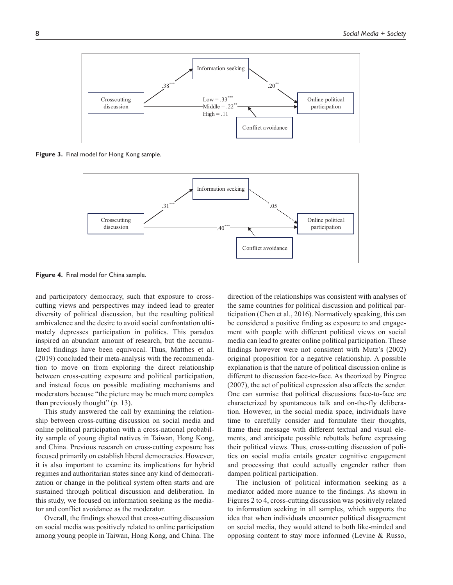

**Figure 3.** Final model for Hong Kong sample.



**Figure 4.** Final model for China sample.

and participatory democracy, such that exposure to crosscutting views and perspectives may indeed lead to greater diversity of political discussion, but the resulting political ambivalence and the desire to avoid social confrontation ultimately depresses participation in politics. This paradox inspired an abundant amount of research, but the accumulated findings have been equivocal. Thus, Matthes et al. (2019) concluded their meta-analysis with the recommendation to move on from exploring the direct relationship between cross-cutting exposure and political participation, and instead focus on possible mediating mechanisms and moderators because "the picture may be much more complex than previously thought" (p. 13).

This study answered the call by examining the relationship between cross-cutting discussion on social media and online political participation with a cross-national probability sample of young digital natives in Taiwan, Hong Kong, and China. Previous research on cross-cutting exposure has focused primarily on establish liberal democracies. However, it is also important to examine its implications for hybrid regimes and authoritarian states since any kind of democratization or change in the political system often starts and are sustained through political discussion and deliberation. In this study, we focused on information seeking as the mediator and conflict avoidance as the moderator.

Overall, the findings showed that cross-cutting discussion on social media was positively related to online participation among young people in Taiwan, Hong Kong, and China. The

direction of the relationships was consistent with analyses of the same countries for political discussion and political participation (Chen et al., 2016). Normatively speaking, this can be considered a positive finding as exposure to and engagement with people with different political views on social media can lead to greater online political participation. These findings however were not consistent with Mutz's (2002) original proposition for a negative relationship. A possible explanation is that the nature of political discussion online is different to discussion face-to-face. As theorized by Pingree (2007), the act of political expression also affects the sender. One can surmise that political discussions face-to-face are characterized by spontaneous talk and on-the-fly deliberation. However, in the social media space, individuals have time to carefully consider and formulate their thoughts, frame their message with different textual and visual elements, and anticipate possible rebuttals before expressing their political views. Thus, cross-cutting discussion of politics on social media entails greater cognitive engagement and processing that could actually engender rather than dampen political participation.

The inclusion of political information seeking as a mediator added more nuance to the findings. As shown in Figures 2 to 4, cross-cutting discussion was positively related to information seeking in all samples, which supports the idea that when individuals encounter political disagreement on social media, they would attend to both like-minded and opposing content to stay more informed (Levine & Russo,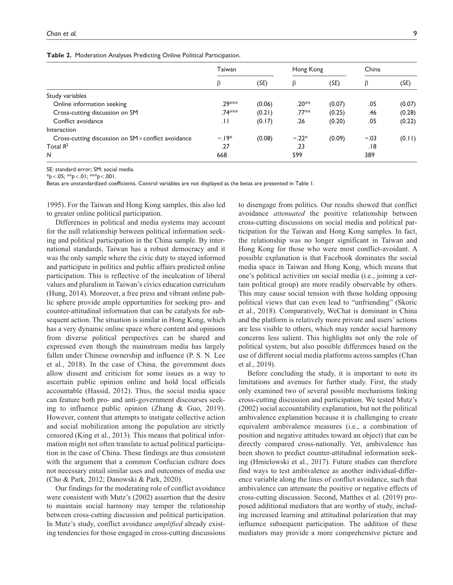| Taiwan  |        | Hong Kong |        | China  |        |
|---------|--------|-----------|--------|--------|--------|
| β       | (SE)   | β         | (SE)   | β      | (SE)   |
|         |        |           |        |        |        |
| .29 *** | (0.06) | $.20**$   | (0.07) | .05    | (0.07) |
| .74***  | (0.21) | $.77**$   | (0.25) | .46    | (0.28) |
| . H     | (0.17) | .26       | (0.20) | .05    | (0.22) |
|         |        |           |        |        |        |
| $-19*$  | (0.08) | $-.22*$   | (0.09) | $-.03$ | (0.11) |
| .27     |        | .23       |        | .18    |        |
| 668     |        | 599       |        | 389    |        |
|         |        |           |        |        |        |

SE: standard error; SM: social media.

\**p*<.05; \*\**p*<.01; \*\*\**p*<.001.

Betas are unstandardized coefficients. Control variables are not displayed as the betas are presented in Table 1.

1995). For the Taiwan and Hong Kong samples, this also led to greater online political participation.

Differences in political and media systems may account for the null relationship between political information seeking and political participation in the China sample. By international standards, Taiwan has a robust democracy and it was the only sample where the civic duty to stayed informed and participate in politics and public affairs predicted online participation. This is reflective of the inculcation of liberal values and pluralism in Taiwan's civics education curriculum (Hung, 2014). Moreover, a free press and vibrant online public sphere provide ample opportunities for seeking pro- and counter-attitudinal information that can be catalysts for subsequent action. The situation is similar in Hong Kong, which has a very dynamic online space where content and opinions from diverse political perspectives can be shared and expressed even though the mainstream media has largely fallen under Chinese ownership and influence (P. S. N. Lee et al., 2018). In the case of China, the government does allow dissent and criticism for some issues as a way to ascertain public opinion online and hold local officials accountable (Hassid, 2012). Thus, the social media space can feature both pro- and anti-government discourses seeking to influence public opinion (Zhang & Guo, 2019). However, content that attempts to instigate collective action and social mobilization among the population are strictly censored (King et al., 2013). This means that political information might not often translate to actual political participation in the case of China. These findings are thus consistent with the argument that a common Confucian culture does not necessary entail similar uses and outcomes of media use (Cho & Park, 2012; Danowski & Park, 2020).

Our findings for the moderating role of conflict avoidance were consistent with Mutz's (2002) assertion that the desire to maintain social harmony may temper the relationship between cross-cutting discussion and political participation. In Mutz's study, conflict avoidance *amplified* already existing tendencies for those engaged in cross-cutting discussions

to disengage from politics. Our results showed that conflict avoidance *attenuated* the positive relationship between cross-cutting discussions on social media and political participation for the Taiwan and Hong Kong samples. In fact, the relationship was no longer significant in Taiwan and Hong Kong for those who were most conflict-avoidant. A possible explanation is that Facebook dominates the social media space in Taiwan and Hong Kong, which means that one's political activities on social media (i.e., joining a certain political group) are more readily observable by others. This may cause social tension with those holding opposing political views that can even lead to "unfriending" (Skoric et al., 2018). Comparatively, WeChat is dominant in China and the platform is relatively more private and users' actions are less visible to others, which may render social harmony concerns less salient. This highlights not only the role of political system, but also possible differences based on the use of different social media platforms across samples (Chan et al., 2019).

Before concluding the study, it is important to note its limitations and avenues for further study. First, the study only examined two of several possible mechanisms linking cross-cutting discussion and participation. We tested Mutz's (2002) social accountability explanation, but not the political ambivalence explanation because it is challenging to create equivalent ambivalence measures (i.e., a combination of position and negative attitudes toward an object) that can be directly compared cross-nationally. Yet, ambivalence has been shown to predict counter-attitudinal information seeking (Hmielowski et al., 2017). Future studies can therefore find ways to test ambivalence as another individual-difference variable along the lines of conflict avoidance, such that ambivalence can attenuate the positive or negative effects of cross-cutting discussion. Second, Matthes et al. (2019) proposed additional mediators that are worthy of study, including increased learning and attitudinal polarization that may influence subsequent participation. The addition of these mediators may provide a more comprehensive picture and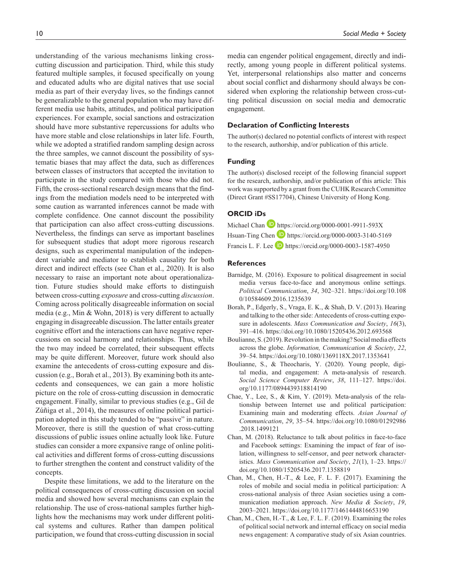understanding of the various mechanisms linking crosscutting discussion and participation. Third, while this study featured multiple samples, it focused specifically on young and educated adults who are digital natives that use social media as part of their everyday lives, so the findings cannot be generalizable to the general population who may have different media use habits, attitudes, and political participation experiences. For example, social sanctions and ostracization should have more substantive repercussions for adults who have more stable and close relationships in later life. Fourth, while we adopted a stratified random sampling design across the three samples, we cannot discount the possibility of systematic biases that may affect the data, such as differences between classes of instructors that accepted the invitation to participate in the study compared with those who did not. Fifth, the cross-sectional research design means that the findings from the mediation models need to be interpreted with some caution as warranted inferences cannot be made with complete confidence. One cannot discount the possibility that participation can also affect cross-cutting discussions. Nevertheless, the findings can serve as important baselines for subsequent studies that adopt more rigorous research designs, such as experimental manipulation of the independent variable and mediator to establish causality for both direct and indirect effects (see Chan et al., 2020). It is also necessary to raise an important note about operationalization. Future studies should make efforts to distinguish between cross-cutting *exposure* and cross-cutting *discussion*. Coming across politically disagreeable information on social media (e.g., Min & Wohn, 2018) is very different to actually engaging in disagreeable discussion. The latter entails greater cognitive effort and the interactions can have negative repercussions on social harmony and relationships. Thus, while the two may indeed be correlated, their subsequent effects may be quite different. Moreover, future work should also examine the antecedents of cross-cutting exposure and discussion (e.g., Borah et al., 2013). By examining both its antecedents and consequences, we can gain a more holistic picture on the role of cross-cutting discussion in democratic engagement. Finally, similar to previous studies (e.g., Gil de Zúñiga et al., 2014), the measures of online political participation adopted in this study tended to be "passive" in nature. Moreover, there is still the question of what cross-cutting discussions of public issues online actually look like. Future studies can consider a more expansive range of online political activities and different forms of cross-cutting discussions to further strengthen the content and construct validity of the concepts.

Despite these limitations, we add to the literature on the political consequences of cross-cutting discussion on social media and showed how several mechanisms can explain the relationship. The use of cross-national samples further highlights how the mechanisms may work under different political systems and cultures. Rather than dampen political participation, we found that cross-cutting discussion in social

media can engender political engagement, directly and indirectly, among young people in different political systems. Yet, interpersonal relationships also matter and concerns about social conflict and disharmony should always be considered when exploring the relationship between cross-cutting political discussion on social media and democratic engagement.

#### **Declaration of Conflicting Interests**

The author(s) declared no potential conflicts of interest with respect to the research, authorship, and/or publication of this article.

#### **Funding**

The author(s) disclosed receipt of the following financial support for the research, authorship, and/or publication of this article: This work was supported by a grant from the CUHK Research Committee (Direct Grant #SS17704), Chinese University of Hong Kong.

#### **ORCID iDs**

| Michael Chan $\blacksquare$ https://orcid.org/0000-0001-9911-593X |  |
|-------------------------------------------------------------------|--|
| Hsuan-Ting Chen $\Box$ https://orcid.org/0000-0003-3140-5169      |  |
| Francis L. F. Lee $\Box$ https://orcid.org/0000-0003-1587-4950    |  |

#### **References**

- Barnidge, M. (2016). Exposure to political disagreement in social media versus face-to-face and anonymous online settings. *Political Communication*, *34*, 302–321. [https://doi.org/10.108](https://doi.org/10.1080/10584609.2016.1235639) [0/10584609.2016.1235639](https://doi.org/10.1080/10584609.2016.1235639)
- Borah, P., Edgerly, S., Vraga, E. K., & Shah, D. V. (2013). Hearing and talking to the other side: Antecedents of cross-cutting exposure in adolescents. *Mass Communication and Society*, *16*(3), 391–416. <https://doi.org/10.1080/15205436.2012.693568>
- Boulianne, S. (2019). Revolution in the making? Social media effects across the globe. *Information, Communication & Society*, *22*, 39–54.<https://doi.org/10.1080/1369118X.2017.1353641>
- Boulianne, S., & Theocharis, Y. (2020). Young people, digital media, and engagement: A meta-analysis of research. *Social Science Computer Review*, *38*, 111–127. [https://doi.](https://doi.org/10.1177/0894439318814190) [org/10.1177/0894439318814190](https://doi.org/10.1177/0894439318814190)
- Chae, Y., Lee, S., & Kim, Y. (2019). Meta-analysis of the relationship between Internet use and political participation: Examining main and moderating effects. *Asian Journal of Communication*, *29*, 35–54. [https://doi.org/10.1080/01292986](https://doi.org/10.1080/01292986.2018.1499121) [.2018.1499121](https://doi.org/10.1080/01292986.2018.1499121)
- Chan, M. (2018). Reluctance to talk about politics in face-to-face and Facebook settings: Examining the impact of fear of isolation, willingness to self-censor, and peer network characteristics. *Mass Communication and Society*, *21*(1), 1–23. [https://](https://doi.org/10.1080/15205436.2017.1358819) [doi.org/10.1080/15205436.2017.1358819](https://doi.org/10.1080/15205436.2017.1358819)
- Chan, M., Chen, H.-T., & Lee, F. L. F. (2017). Examining the roles of mobile and social media in political participation: A cross-national analysis of three Asian societies using a communication mediation approach. *New Media & Society*, *19*, 2003–2021.<https://doi.org/10.1177/1461444816653190>
- Chan, M., Chen, H.-T., & Lee, F. L. F. (2019). Examining the roles of political social network and internal efficacy on social media news engagement: A comparative study of six Asian countries.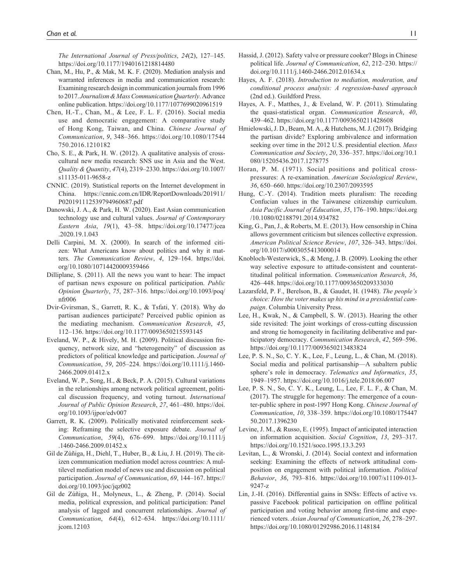*The International Journal of Press/politics*, *24*(2), 127–145. <https://doi.org/10.1177/1940161218814480>

- Chan, M., Hu, P., & Mak, M. K. F. (2020). Mediation analysis and warranted inferences in media and communication research: Examining research design in communication journals from 1996 to 2017. *Journalism & Mass Communication Quarterly*. Advance online publication.<https://doi.org/10.1177/1077699020961519>
- Chen, H.-T., Chan, M., & Lee, F. L. F. (2016). Social media use and democratic engagement: A comparative study of Hong Kong, Taiwan, and China. *Chinese Journal of Communication*, *9*, 348–366. [https://doi.org/10.1080/17544](https://doi.org/10.1080/17544750.2016.1210182) [750.2016.1210182](https://doi.org/10.1080/17544750.2016.1210182)
- Cho, S. E., & Park, H. W. (2012). A qualitative analysis of crosscultural new media research: SNS use in Asia and the West. *Quality & Quantity*, *47*(4), 2319–2330. [https://doi.org/10.1007/](https://doi.org/10.1007/s11135-011-9658-z) [s11135-011-9658-z](https://doi.org/10.1007/s11135-011-9658-z)
- CNNIC. (2019). Statistical reports on the Internet development in China. [https://cnnic.com.cn/IDR/ReportDownloads/201911/](https://cnnic.com.cn/IDR/ReportDownloads/201911/P020191112539794960687.pdf) [P020191112539794960687.pdf](https://cnnic.com.cn/IDR/ReportDownloads/201911/P020191112539794960687.pdf)
- Danowski, J. A., & Park, H. W. (2020). East Asian communication technology use and cultural values. *Journal of Contemporary Eastern Asia*, *19*(1), 43–58. [https://doi.org/10.17477/jcea](https://doi.org/10.17477/jcea.2020.19.1.043) [.2020.19.1.043](https://doi.org/10.17477/jcea.2020.19.1.043)
- Delli Carpini, M. X. (2000). In search of the informed citizen: What Americans know about politics and why it matters. *The Communication Review*, *4*, 129–164. [https://doi.](https://doi.org/10.1080/10714420009359466) [org/10.1080/10714420009359466](https://doi.org/10.1080/10714420009359466)
- Dilliplane, S. (2011). All the news you want to hear: The impact of partisan news exposure on political participation. *Public Opinion Quarterly*, *75*, 287–316. [https://doi.org/10.1093/poq/](https://doi.org/10.1093/poq/nfr006) [nfr006](https://doi.org/10.1093/poq/nfr006)
- Dvir-Gvirsman, S., Garrett, R. K., & Tsfati, Y. (2018). Why do partisan audiences participate? Perceived public opinion as the mediating mechanism. *Communication Research*, *45*, 112–136.<https://doi.org/10.1177/0093650215593145>
- Eveland, W. P., & Hively, M. H. (2009). Political discussion frequency, network size, and "heterogeneity" of discussion as predictors of political knowledge and participation. *Journal of Communication*, *59*, 205–224. [https://doi.org/10.1111/j.1460-](https://doi.org/10.1111/j.1460-2466.2009.01412.x) [2466.2009.01412.x](https://doi.org/10.1111/j.1460-2466.2009.01412.x)
- Eveland, W. P., Song, H., & Beck, P. A. (2015). Cultural variations in the relationships among network political agreement, political discussion frequency, and voting turnout. *International Journal of Public Opinion Research*, *27*, 461–480. [https://doi.](https://doi.org/10.1093/ijpor/edv007) [org/10.1093/ijpor/edv007](https://doi.org/10.1093/ijpor/edv007)
- Garrett, R. K. (2009). Politically motivated reinforcement seeking: Reframing the selective exposure debate. *Journal of Communication*, *59*(4), 676–699. [https://doi.org/10.1111/j](https://doi.org/10.1111/j.1460-2466.2009.01452.x) [.1460-2466.2009.01452.x](https://doi.org/10.1111/j.1460-2466.2009.01452.x)
- Gil de Zúñiga, H., Diehl, T., Huber, B., & Liu, J. H. (2019). The citizen communication mediation model across countries: A multilevel mediation model of news use and discussion on political participation. *Journal of Communication*, *69*, 144–167. [https://](https://doi.org/10.1093/joc/jqz002) [doi.org/10.1093/joc/jqz002](https://doi.org/10.1093/joc/jqz002)
- Gil de Zúñiga, H., Molyneux, L., & Zheng, P. (2014). Social media, political expression, and political participation: Panel analysis of lagged and concurrent relationships. *Journal of Communication*, *64*(4), 612–634. [https://doi.org/10.1111/](https://doi.org/10.1111/jcom.12103) [jcom.12103](https://doi.org/10.1111/jcom.12103)
- Hassid, J. (2012). Safety valve or pressure cooker? Blogs in Chinese political life. *Journal of Communication*, *62*, 212–230. [https://](https://doi.org/10.1111/j.1460-2466.2012.01634.x) [doi.org/10.1111/j.1460-2466.2012.01634.x](https://doi.org/10.1111/j.1460-2466.2012.01634.x)
- Hayes, A. F. (2018). *Introduction to mediation, moderation, and conditional process analysis: A regression-based approach* (2nd ed.). Guildford Press.
- Hayes, A. F., Matthes, J., & Eveland, W. P. (2011). Stimulating the quasi-statistical organ. *Communication Research*, *40*, 439–462.<https://doi.org/10.1177/0093650211428608>
- Hmielowski, J. D., Beam, M. A., & Hutchens, M. J. (2017). Bridging the partisan divide? Exploring ambivalence and information seeking over time in the 2012 U.S. presidential election. *Mass Communication and Society*, *20*, 336–357. [https://doi.org/10.1](https://doi.org/10.1080/15205436.2017.1278775) [080/15205436.2017.1278775](https://doi.org/10.1080/15205436.2017.1278775)
- Horan, P. M. (1971). Social positions and political crosspressures: A re-examination. *American Sociological Review*, *36*, 650–660.<https://doi.org/10.2307/2093595>
- Hung, C.-Y. (2014). Tradition meets pluralism: The receding Confucian values in the Taiwanese citizenship curriculum. *Asia Pacific Journal of Education*, *35*, 176–190. [https://doi.org](https://doi.org/10.1080/02188791.2014.934782) [/10.1080/02188791.2014.934782](https://doi.org/10.1080/02188791.2014.934782)
- King, G., Pan, J., & Roberts, M. E. (2013). How censorship in China allows government criticism but silences collective expression. *American Political Science Review*, *107*, 326–343. [https://doi.](https://doi.org/10.1017/s0003055413000014) [org/10.1017/s0003055413000014](https://doi.org/10.1017/s0003055413000014)
- Knobloch-Westerwick, S., & Meng, J. B. (2009). Looking the other way selective exposure to attitude-consistent and counterattitudinal political information. *Communication Research*, *36*, 426–448.<https://doi.org/10.1177/0093650209333030>
- Lazarsfeld, P. F., Berelson, B., & Gaudet, H. (1948). *The people's choice: How the voter makes up his mind in a presidential campaign*. Columbia University Press.
- Lee, H., Kwak, N., & Campbell, S. W. (2013). Hearing the other side revisited: The joint workings of cross-cutting discussion and strong tie homogeneity in facilitating deliberative and participatory democracy. *Communication Research*, *42*, 569–596. <https://doi.org/10.1177/0093650213483824>
- Lee, P. S. N., So, C. Y. K., Lee, F., Leung, L., & Chan, M. (2018). Social media and political partisanship—A subaltern public sphere's role in democracy. *Telematics and Informatics*, *35*, 1949–1957. <https://doi.org/10.1016/j.tele.2018.06.007>
- Lee, P. S. N., So, C. Y. K., Leung, L., Lee, F. L. F., & Chan, M. (2017). The struggle for hegemony: The emergence of a counter-public sphere in post-1997 Hong Kong. *Chinese Journal of Communication*, *10*, 338–359. [https://doi.org/10.1080/175447](https://doi.org/10.1080/17544750.2017.1396230) [50.2017.1396230](https://doi.org/10.1080/17544750.2017.1396230)
- Levine, J. M., & Russo, E. (1995). Impact of anticipated interaction on information acquisition. *Social Cognition*, *13*, 293–317. <https://doi.org/10.1521/soco.1995.13.3.293>
- Levitan, L., & Wronski, J. (2014). Social context and information seeking: Examining the effects of network attitudinal composition on engagement with political information. *Political Behavior*, *36*, 793–816. [https://doi.org/10.1007/s11109-013-](https://doi.org/10.1007/s11109-013-9247-z) [9247-z](https://doi.org/10.1007/s11109-013-9247-z)
- Lin, J.-H. (2016). Differential gains in SNSs: Effects of active vs. passive Facebook political participation on offline political participation and voting behavior among first-time and experienced voters. *Asian Journal of Communication*, *26*, 278–297. <https://doi.org/10.1080/01292986.2016.1148184>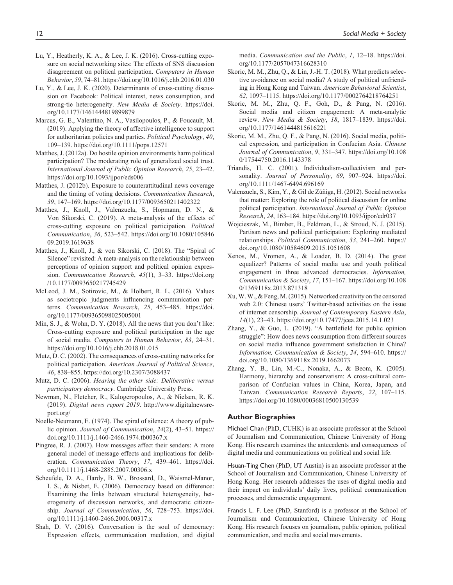- Lu, Y., Heatherly, K. A., & Lee, J. K. (2016). Cross-cutting exposure on social networking sites: The effects of SNS discussion disagreement on political participation. *Computers in Human Behavior*, *59*, 74–81.<https://doi.org/10.1016/j.chb.2016.01.030>
- Lu, Y., & Lee, J. K. (2020). Determinants of cross-cutting discussion on Facebook: Political interest, news consumption, and strong-tie heterogeneity. *New Media & Society*. [https://doi.](https://doi.org/10.1177/1461444819899879) [org/10.1177/1461444819899879](https://doi.org/10.1177/1461444819899879)
- Marcus, G. E., Valentino, N. A., Vasilopoulos, P., & Foucault, M. (2019). Applying the theory of affective intelligence to support for authoritarian policies and parties. *Political Psychology*, *40*, 109–139.<https://doi.org/10.1111/pops.12571>
- Matthes, J. (2012a). Do hostile opinion environments harm political participation? The moderating role of generalized social trust. *International Journal of Public Opinion Research*, *25*, 23–42. <https://doi.org/10.1093/ijpor/eds006>
- Matthes, J. (2012b). Exposure to counterattitudinal news coverage and the timing of voting decisions. *Communication Research*, *39*, 147–169. <https://doi.org/10.1177/0093650211402322>
- Matthes, J., Knoll, J., Valenzuela, S., Hopmann, D. N., & Von Sikorski, C. (2019). A meta-analysis of the effects of cross-cutting exposure on political participation. *Political Communication*, *36*, 523–542. [https://doi.org/10.1080/105846](https://doi.org/10.1080/10584609.2019.1619638) [09.2019.1619638](https://doi.org/10.1080/10584609.2019.1619638)
- Matthes, J., Knoll, J., & von Sikorski, C. (2018). The "Spiral of Silence" revisited: A meta-analysis on the relationship between perceptions of opinion support and political opinion expression. *Communication Research*, *45*(1), 3–33. [https://doi.org](https://doi.org/10.1177/0093650217745429) [/10.1177/0093650217745429](https://doi.org/10.1177/0093650217745429)
- McLeod, J. M., Sotirovic, M., & Holbert, R. L. (2016). Values as sociotropic judgments influencing communication patterns. *Communication Research*, *25*, 453–485. [https://doi.](https://doi.org/10.1177/009365098025005001) [org/10.1177/009365098025005001](https://doi.org/10.1177/009365098025005001)
- Min, S. J., & Wohn, D. Y. (2018). All the news that you don't like: Cross-cutting exposure and political participation in the age of social media. *Computers in Human Behavior*, *83*, 24–31. <https://doi.org/10.1016/j.chb.2018.01.015>
- Mutz, D. C. (2002). The consequences of cross-cutting networks for political participation. *American Journal of Political Science*, *46*, 838–855. <https://doi.org/10.2307/3088437>
- Mutz, D. C. (2006). *Hearing the other side: Deliberative versus participatory democracy*. Cambridge University Press.
- Newman, N., Fletcher, R., Kalogeropoulos, A., & Nielsen, R. K. (2019). *Digital news report 2019*. [http://www.digitalnewsre](http://www.digitalnewsreport.org/)[port.org/](http://www.digitalnewsreport.org/)
- Noelle-Neumann, E. (1974). The spiral of silence: A theory of public opinion. *Journal of Communication*, *24*(2), 43–51. [https://](https://doi.org/10.1111/j.1460-2466.1974.tb00367.x) [doi.org/10.1111/j.1460-2466.1974.tb00367.x](https://doi.org/10.1111/j.1460-2466.1974.tb00367.x)
- Pingree, R. J. (2007). How messages affect their senders: A more general model of message effects and implications for deliberation. *Communication Theory*, *17*, 439–461. [https://doi.](https://doi.org/10.1111/j.1468-2885.2007.00306.x) [org/10.1111/j.1468-2885.2007.00306.x](https://doi.org/10.1111/j.1468-2885.2007.00306.x)
- Scheufele, D. A., Hardy, B. W., Brossard, D., Waismel-Manor, I. S., & Nisbet, E. (2006). Democracy based on difference: Examining the links between structural heterogeneity, heterogeneity of discussion networks, and democratic citizenship. *Journal of Communication*, *56*, 728–753. [https://doi.](https://doi.org/10.1111/j.1460-2466.2006.00317.x) [org/10.1111/j.1460-2466.2006.00317.x](https://doi.org/10.1111/j.1460-2466.2006.00317.x)
- Shah, D. V. (2016). Conversation is the soul of democracy: Expression effects, communication mediation, and digital

media. *Communication and the Public*, *1*, 12–18. [https://doi.](https://doi.org/10.1177/2057047316628310) [org/10.1177/2057047316628310](https://doi.org/10.1177/2057047316628310)

- Skoric, M. M., Zhu, Q., & Lin, J.-H. T. (2018). What predicts selective avoidance on social media? A study of political unfriending in Hong Kong and Taiwan. *American Behavioral Scientist*, *62*, 1097–1115.<https://doi.org/10.1177/0002764218764251>
- Skoric, M. M., Zhu, Q. F., Goh, D., & Pang, N. (2016). Social media and citizen engagement: A meta-analytic review. *New Media & Society*, *18*, 1817–1839. [https://doi.](https://doi.org/10.1177/1461444815616221) [org/10.1177/1461444815616221](https://doi.org/10.1177/1461444815616221)
- Skoric, M. M., Zhu, Q. F., & Pang, N. (2016). Social media, political expression, and participation in Confucian Asia. *Chinese Journal of Communication*, *9*, 331–347. [https://doi.org/10.108](https://doi.org/10.1080/17544750.2016.1143378) [0/17544750.2016.1143378](https://doi.org/10.1080/17544750.2016.1143378)
- Triandis, H. C. (2001). Individualism-collectivism and personality. *Journal of Personality*, *69*, 907–924. [https://doi.](https://doi.org/10.1111/1467-6494.696169) [org/10.1111/1467-6494.696169](https://doi.org/10.1111/1467-6494.696169)
- Valenzuela, S., Kim, Y., & Gil de Zúñiga, H. (2012). Social networks that matter: Exploring the role of political discussion for online political participation. *International Journal of Public Opinion Research*, *24*, 163–184.<https://doi.org/10.1093/ijpor/edr037>
- Wojcieszak, M., Bimber, B., Feldman, L., & Stroud, N. J. (2015). Partisan news and political participation: Exploring mediated relationships. *Political Communication*, *33*, 241–260. [https://](https://doi.org/10.1080/10584609.2015.1051608) [doi.org/10.1080/10584609.2015.1051608](https://doi.org/10.1080/10584609.2015.1051608)
- Xenos, M., Vromen, A., & Loader, B. D. (2014). The great equalizer? Patterns of social media use and youth political engagement in three advanced democracies. *Information, Communication & Society*, *17*, 151–167. [https://doi.org/10.108](https://doi.org/10.1080/1369118x.2013.871318) [0/1369118x.2013.871318](https://doi.org/10.1080/1369118x.2013.871318)
- Xu, W. W., & Feng, M. (2015). Networked creativity on the censored web 2.0: Chinese users' Twitter-based activities on the issue of internet censorship. *Journal of Contemporary Eastern Asia*, *14*(1), 23–43.<https://doi.org/10.17477/jcea.2015.14.1.023>
- Zhang, Y., & Guo, L. (2019). "A battlefield for public opinion struggle": How does news consumption from different sources on social media influence government satisfaction in China? *Information, Communication & Society*, *24*, 594–610. [https://](https://doi.org/10.1080/1369118x.2019.1662073) [doi.org/10.1080/1369118x.2019.1662073](https://doi.org/10.1080/1369118x.2019.1662073)
- Zhang, Y. B., Lin, M.-C., Nonaka, A., & Beom, K. (2005). Harmony, hierarchy and conservatism: A cross-cultural comparison of Confucian values in China, Korea, Japan, and Taiwan. *Communication Research Reports*, *22*, 107–115. <https://doi.org/10.1080/00036810500130539>

#### **Author Biographies**

Michael Chan (PhD, CUHK) is an associate professor at the School of Journalism and Communication, Chinese University of Hong Kong. His research examines the antecedents and consequences of digital media and communications on political and social life.

Hsuan-Ting Chen (PhD, UT Austin) is an associate professor at the School of Journalism and Communication, Chinese University of Hong Kong. Her research addresses the uses of digital media and their impact on individuals' daily lives, political communication processes, and democratic engagement.

Francis L. F. Lee (PhD, Stanford) is a professor at the School of Journalism and Communication, Chinese University of Hong Kong. His research focuses on journalism, public opinion, political communication, and media and social movements.